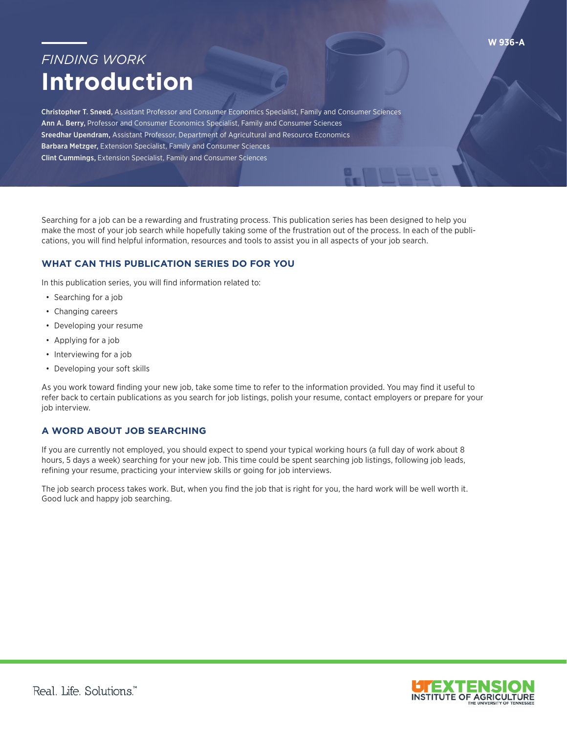## *FINDING WORK*  **Introduction**

Christopher T. Sneed, Assistant Professor and Consumer Economics Specialist, Family and Consumer Sciences Ann A. Berry, Professor and Consumer Economics Specialist, Family and Consumer Sciences Sreedhar Upendram, Assistant Professor, Department of Agricultural and Resource Economics Barbara Metzger, Extension Specialist, Family and Consumer Sciences Clint Cummings, Extension Specialist, Family and Consumer Sciences

Searching for a job can be a rewarding and frustrating process. This publication series has been designed to help you make the most of your job search while hopefully taking some of the frustration out of the process. In each of the publications, you will fnd helpful information, resources and tools to assist you in all aspects of your job search.

## **WHAT CAN THIS PUBLICATION SERIES DO FOR YOU**

In this publication series, you will find information related to:

- Searching for a job
- Changing careers
- Developing your resume
- Applying for a job
- Interviewing for a job
- Developing your soft skills

As you work toward finding your new job, take some time to refer to the information provided. You may find it useful to refer back to certain publications as you search for job listings, polish your resume, contact employers or prepare for your job interview.

## **A WORD ABOUT JOB SEARCHING**

If you are currently not employed, you should expect to spend your typical working hours (a full day of work about 8 hours, 5 days a week) searching for your new job. This time could be spent searching job listings, following job leads, refining your resume, practicing your interview skills or going for job interviews.

The job search process takes work. But, when you find the job that is right for you, the hard work will be well worth it. Good luck and happy job searching.



**W 936-A**

Real. Life. Solutions."